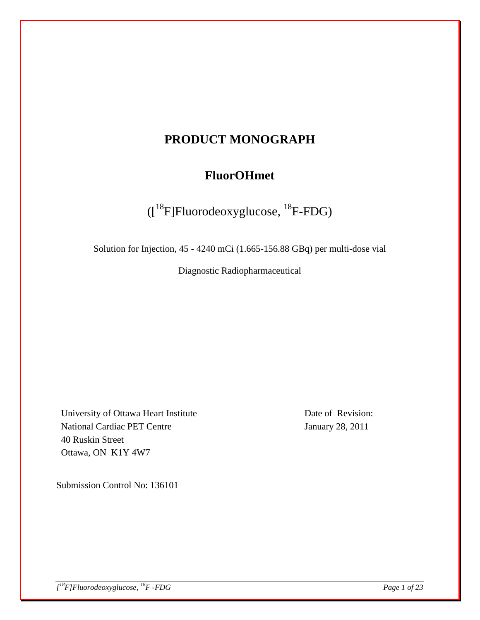# **PRODUCT MONOGRAPH**

# **FluorOHmet**

([18F]Fluorodeoxyglucose, 18F-FDG)

Solution for Injection, 45 - 4240 mCi (1.665-156.88 GBq) per multi-dose vial

Diagnostic Radiopharmaceutical

University of Ottawa Heart Institute National Cardiac PET Centre 40 Ruskin Street Ottawa, ON K1Y 4W7

Date of Revision: January 28, 2011

Submission Control No: 136101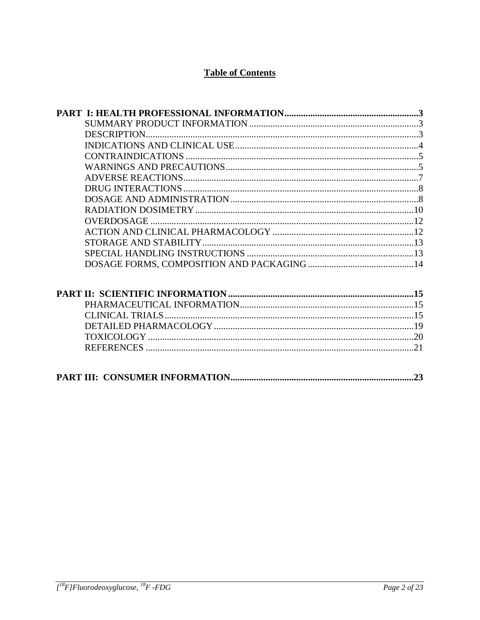## **Table of Contents**

| DESCRIPTION |  |
|-------------|--|
|             |  |
|             |  |
|             |  |
|             |  |
|             |  |
|             |  |
|             |  |
|             |  |
|             |  |
|             |  |
|             |  |
|             |  |
|             |  |
|             |  |
|             |  |
|             |  |
|             |  |
|             |  |
|             |  |
|             |  |

|--|--|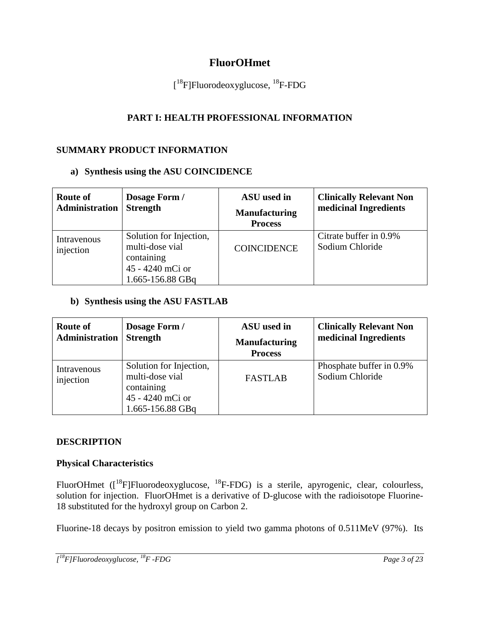## **FluorOHmet**

[<sup>18</sup>F]Fluorodeoxyglucose, <sup>18</sup>F-FDG

## **PART I: HEALTH PROFESSIONAL INFORMATION**

### **SUMMARY PRODUCT INFORMATION**

### **a) Synthesis using the ASU COINCIDENCE**

| <b>Route of</b><br><b>Administration</b> | Dosage Form /<br><b>Strength</b>                                                                 | ASU used in<br><b>Manufacturing</b><br><b>Process</b> | <b>Clinically Relevant Non</b><br>medicinal Ingredients |
|------------------------------------------|--------------------------------------------------------------------------------------------------|-------------------------------------------------------|---------------------------------------------------------|
| Intravenous<br>injection                 | Solution for Injection,<br>multi-dose vial<br>containing<br>45 - 4240 mCi or<br>1.665-156.88 GBq | <b>COINCIDENCE</b>                                    | Citrate buffer in 0.9%<br>Sodium Chloride               |

### **b) Synthesis using the ASU FASTLAB**

| Route of<br>Administration | Dosage Form /<br><b>Strength</b>                                                                 | ASU used in<br><b>Manufacturing</b><br><b>Process</b> | <b>Clinically Relevant Non</b><br>medicinal Ingredients |
|----------------------------|--------------------------------------------------------------------------------------------------|-------------------------------------------------------|---------------------------------------------------------|
| Intravenous<br>injection   | Solution for Injection,<br>multi-dose vial<br>containing<br>45 - 4240 mCi or<br>1.665-156.88 GBq | <b>FASTLAB</b>                                        | Phosphate buffer in 0.9%<br>Sodium Chloride             |

### **DESCRIPTION**

### **Physical Characteristics**

FluorOHmet ([<sup>18</sup>F]Fluorodeoxyglucose, <sup>18</sup>F-FDG) is a sterile, apyrogenic, clear, colourless, solution for injection. FluorOHmet is a derivative of D-glucose with the radioisotope Fluorine-18 substituted for the hydroxyl group on Carbon 2.

Fluorine-18 decays by positron emission to yield two gamma photons of 0.511MeV (97%). Its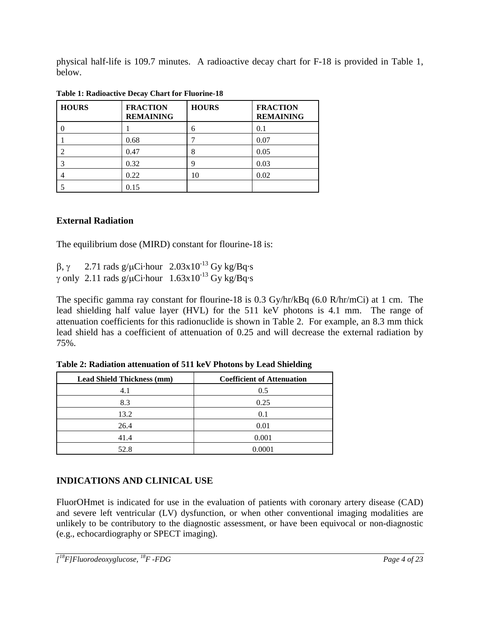physical half-life is 109.7 minutes. A radioactive decay chart for F-18 is provided in Table 1, below.

| <b>HOURS</b> | <b>FRACTION</b><br><b>REMAINING</b> | <b>HOURS</b> | <b>FRACTION</b><br><b>REMAINING</b> |
|--------------|-------------------------------------|--------------|-------------------------------------|
| 0            |                                     | 6            | 0.1                                 |
|              | 0.68                                |              | 0.07                                |
|              | 0.47                                | 8            | 0.05                                |
| 3            | 0.32                                |              | 0.03                                |
| 4            | 0.22                                | 10           | 0.02                                |
|              | 0.15                                |              |                                     |

**Table 1: Radioactive Decay Chart for Fluorine-18**

## **External Radiation**

The equilibrium dose (MIRD) constant for flourine-18 is:

β, γ 2.71 rads g/μCi·hour  $2.03 \times 10^{-13}$  Gy kg/Bq·s γ only 2.11 rads g/μCi·hour  $1.63x10^{-13}$  Gy kg/Bq·s

The specific gamma ray constant for flourine-18 is 0.3 Gy/hr/kBq (6.0 R/hr/mCi) at 1 cm. The lead shielding half value layer (HVL) for the 511 keV photons is 4.1 mm. The range of attenuation coefficients for this radionuclide is shown in Table 2. For example, an 8.3 mm thick lead shield has a coefficient of attenuation of 0.25 and will decrease the external radiation by 75%.

| <b>Lead Shield Thickness (mm)</b> | <b>Coefficient of Attenuation</b> |
|-----------------------------------|-----------------------------------|
| 4.1                               | 0.5                               |
| 8.3                               | 0.25                              |
| 13.2                              | 0.1                               |
| 26.4                              | 0.01                              |
| 41.4                              | 0.001                             |
| 52.8                              | 0.0001                            |

**Table 2: Radiation attenuation of 511 keV Photons by Lead Shielding**

## **INDICATIONS AND CLINICAL USE**

FluorOHmet is indicated for use in the evaluation of patients with coronary artery disease (CAD) and severe left ventricular (LV) dysfunction, or when other conventional imaging modalities are unlikely to be contributory to the diagnostic assessment, or have been equivocal or non-diagnostic (e.g., echocardiography or SPECT imaging).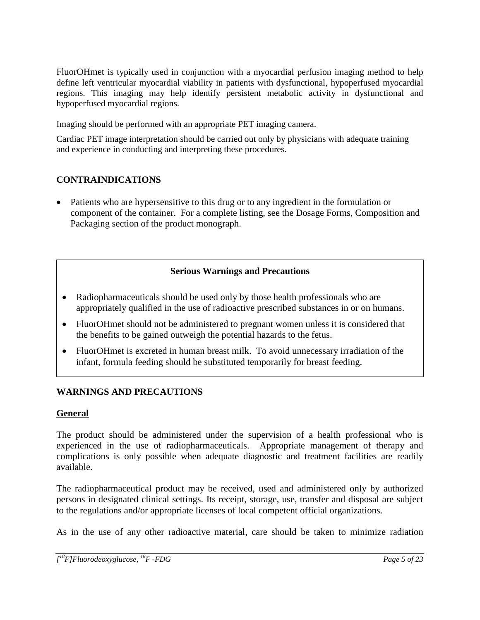FluorOHmet is typically used in conjunction with a myocardial perfusion imaging method to help define left ventricular myocardial viability in patients with dysfunctional, hypoperfused myocardial regions. This imaging may help identify persistent metabolic activity in dysfunctional and hypoperfused myocardial regions.

Imaging should be performed with an appropriate PET imaging camera.

Cardiac PET image interpretation should be carried out only by physicians with adequate training and experience in conducting and interpreting these procedures.

## **CONTRAINDICATIONS**

• Patients who are hypersensitive to this drug or to any ingredient in the formulation or component of the container. For a complete listing, see the Dosage Forms, Composition and Packaging section of the product monograph.

### **Serious Warnings and Precautions**

- Radiopharmaceuticals should be used only by those health professionals who are appropriately qualified in the use of radioactive prescribed substances in or on humans.
- FluorOHmet should not be administered to pregnant women unless it is considered that the benefits to be gained outweigh the potential hazards to the fetus.
- FluorOHmet is excreted in human breast milk. To avoid unnecessary irradiation of the infant, formula feeding should be substituted temporarily for breast feeding.

### **WARNINGS AND PRECAUTIONS**

### **General**

The product should be administered under the supervision of a health professional who is experienced in the use of radiopharmaceuticals. Appropriate management of therapy and complications is only possible when adequate diagnostic and treatment facilities are readily available.

The radiopharmaceutical product may be received, used and administered only by authorized persons in designated clinical settings. Its receipt, storage, use, transfer and disposal are subject to the regulations and/or appropriate licenses of local competent official organizations.

As in the use of any other radioactive material, care should be taken to minimize radiation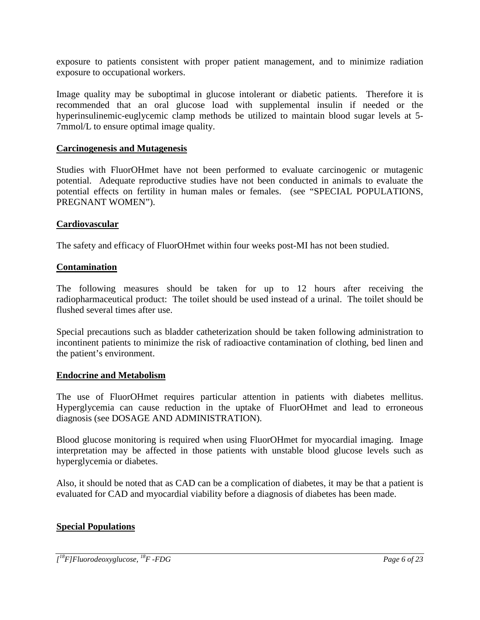exposure to patients consistent with proper patient management, and to minimize radiation exposure to occupational workers.

Image quality may be suboptimal in glucose intolerant or diabetic patients. Therefore it is recommended that an oral glucose load with supplemental insulin if needed or the hyperinsulinemic-euglycemic clamp methods be utilized to maintain blood sugar levels at 5- 7mmol/L to ensure optimal image quality.

#### **Carcinogenesis and Mutagenesis**

Studies with FluorOHmet have not been performed to evaluate carcinogenic or mutagenic potential. Adequate reproductive studies have not been conducted in animals to evaluate the potential effects on fertility in human males or females. (see "SPECIAL POPULATIONS, PREGNANT WOMEN").

#### **Cardiovascular**

The safety and efficacy of FluorOHmet within four weeks post-MI has not been studied.

#### **Contamination**

The following measures should be taken for up to 12 hours after receiving the radiopharmaceutical product: The toilet should be used instead of a urinal. The toilet should be flushed several times after use.

Special precautions such as bladder catheterization should be taken following administration to incontinent patients to minimize the risk of radioactive contamination of clothing, bed linen and the patient's environment.

#### **Endocrine and Metabolism**

The use of FluorOHmet requires particular attention in patients with diabetes mellitus. Hyperglycemia can cause reduction in the uptake of FluorOHmet and lead to erroneous diagnosis (see DOSAGE AND ADMINISTRATION).

Blood glucose monitoring is required when using FluorOHmet for myocardial imaging. Image interpretation may be affected in those patients with unstable blood glucose levels such as hyperglycemia or diabetes.

Also, it should be noted that as CAD can be a complication of diabetes, it may be that a patient is evaluated for CAD and myocardial viability before a diagnosis of diabetes has been made.

#### **Special Populations**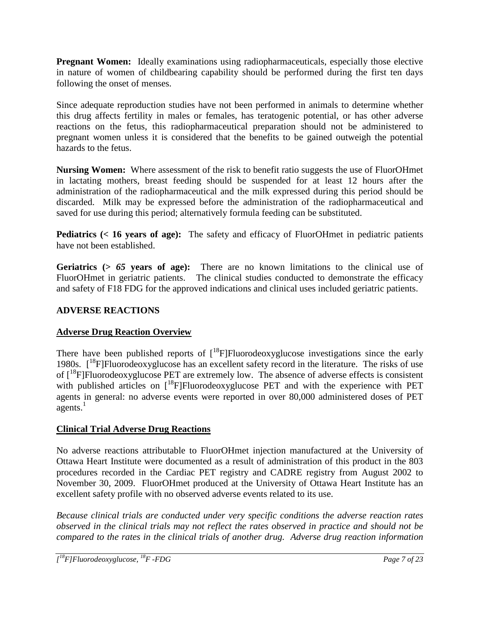**Pregnant Women:** Ideally examinations using radiopharmaceuticals, especially those elective in nature of women of childbearing capability should be performed during the first ten days following the onset of menses.

Since adequate reproduction studies have not been performed in animals to determine whether this drug affects fertility in males or females, has teratogenic potential, or has other adverse reactions on the fetus, this radiopharmaceutical preparation should not be administered to pregnant women unless it is considered that the benefits to be gained outweigh the potential hazards to the fetus.

**Nursing Women:** Where assessment of the risk to benefit ratio suggests the use of FluorOHmet in lactating mothers, breast feeding should be suspended for at least 12 hours after the administration of the radiopharmaceutical and the milk expressed during this period should be discarded. Milk may be expressed before the administration of the radiopharmaceutical and saved for use during this period; alternatively formula feeding can be substituted.

**Pediatrics (< 16 years of age):** The safety and efficacy of FluorOHmet in pediatric patients have not been established.

**Geriatrics (>** *65* **years of age):** There are no known limitations to the clinical use of FluorOHmet in geriatric patients. The clinical studies conducted to demonstrate the efficacy and safety of F18 FDG for the approved indications and clinical uses included geriatric patients.

## **ADVERSE REACTIONS**

### **Adverse Drug Reaction Overview**

There have been published reports of  $[18F]$ Fluorodeoxyglucose investigations since the early 1980s. [18F]Fluorodeoxyglucose has an excellent safety record in the literature. The risks of use of [18F]Fluorodeoxyglucose PET are extremely low. The absence of adverse effects is consistent with published articles on  $[18F]$ Fluorodeoxyglucose PET and with the experience with PET agents in general: no adverse events were reported in over 80,000 administered doses of PET  $a$ gents.<sup>1</sup>

## **Clinical Trial Adverse Drug Reactions**

No adverse reactions attributable to FluorOHmet injection manufactured at the University of Ottawa Heart Institute were documented as a result of administration of this product in the 803 procedures recorded in the Cardiac PET registry and CADRE registry from August 2002 to November 30, 2009. FluorOHmet produced at the University of Ottawa Heart Institute has an excellent safety profile with no observed adverse events related to its use.

*Because clinical trials are conducted under very specific conditions the adverse reaction rates observed in the clinical trials may not reflect the rates observed in practice and should not be compared to the rates in the clinical trials of another drug. Adverse drug reaction information*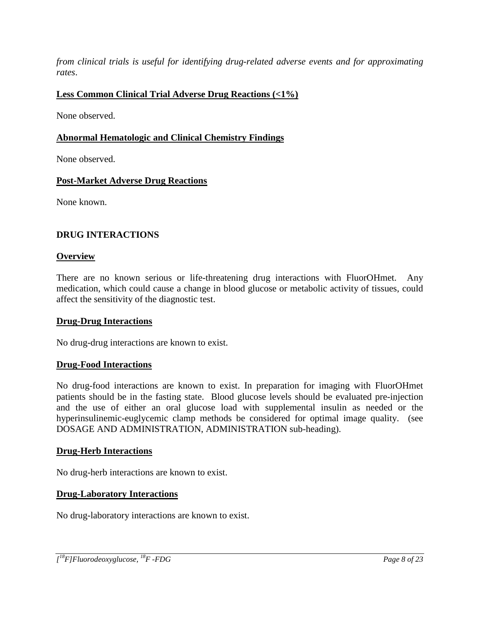*from clinical trials is useful for identifying drug-related adverse events and for approximating rates*.

## **Less Common Clinical Trial Adverse Drug Reactions (<1%)**

None observed.

### **Abnormal Hematologic and Clinical Chemistry Findings**

None observed.

### **Post-Market Adverse Drug Reactions**

None known.

### **DRUG INTERACTIONS**

### **Overview**

There are no known serious or life-threatening drug interactions with FluorOHmet. Any medication, which could cause a change in blood glucose or metabolic activity of tissues, could affect the sensitivity of the diagnostic test.

### **Drug-Drug Interactions**

No drug-drug interactions are known to exist.

### **Drug-Food Interactions**

No drug-food interactions are known to exist. In preparation for imaging with FluorOHmet patients should be in the fasting state. Blood glucose levels should be evaluated pre-injection and the use of either an oral glucose load with supplemental insulin as needed or the hyperinsulinemic-euglycemic clamp methods be considered for optimal image quality. (see DOSAGE AND ADMINISTRATION, ADMINISTRATION sub-heading).

### **Drug-Herb Interactions**

No drug-herb interactions are known to exist.

### **Drug-Laboratory Interactions**

No drug-laboratory interactions are known to exist.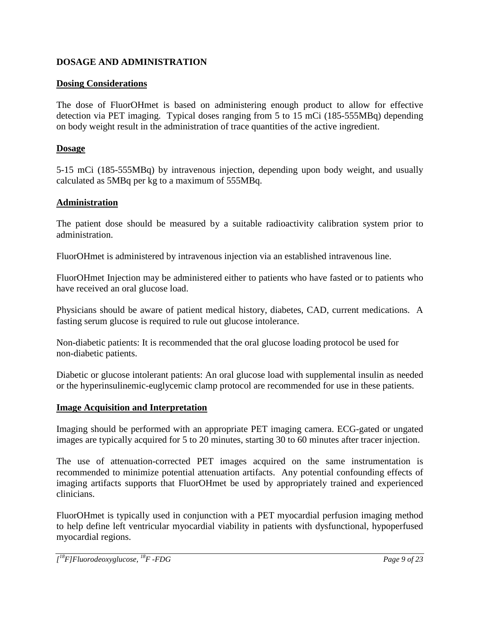### **DOSAGE AND ADMINISTRATION**

### **Dosing Considerations**

The dose of FluorOHmet is based on administering enough product to allow for effective detection via PET imaging. Typical doses ranging from 5 to 15 mCi (185-555MBq) depending on body weight result in the administration of trace quantities of the active ingredient.

### **Dosage**

5-15 mCi (185-555MBq) by intravenous injection, depending upon body weight, and usually calculated as 5MBq per kg to a maximum of 555MBq.

### **Administration**

The patient dose should be measured by a suitable radioactivity calibration system prior to administration.

FluorOHmet is administered by intravenous injection via an established intravenous line.

FluorOHmet Injection may be administered either to patients who have fasted or to patients who have received an oral glucose load.

Physicians should be aware of patient medical history, diabetes, CAD, current medications. A fasting serum glucose is required to rule out glucose intolerance.

Non-diabetic patients: It is recommended that the oral glucose loading protocol be used for non-diabetic patients.

Diabetic or glucose intolerant patients: An oral glucose load with supplemental insulin as needed or the hyperinsulinemic-euglycemic clamp protocol are recommended for use in these patients.

### **Image Acquisition and Interpretation**

Imaging should be performed with an appropriate PET imaging camera. ECG-gated or ungated images are typically acquired for 5 to 20 minutes, starting 30 to 60 minutes after tracer injection.

The use of attenuation-corrected PET images acquired on the same instrumentation is recommended to minimize potential attenuation artifacts. Any potential confounding effects of imaging artifacts supports that FluorOHmet be used by appropriately trained and experienced clinicians.

FluorOHmet is typically used in conjunction with a PET myocardial perfusion imaging method to help define left ventricular myocardial viability in patients with dysfunctional, hypoperfused myocardial regions.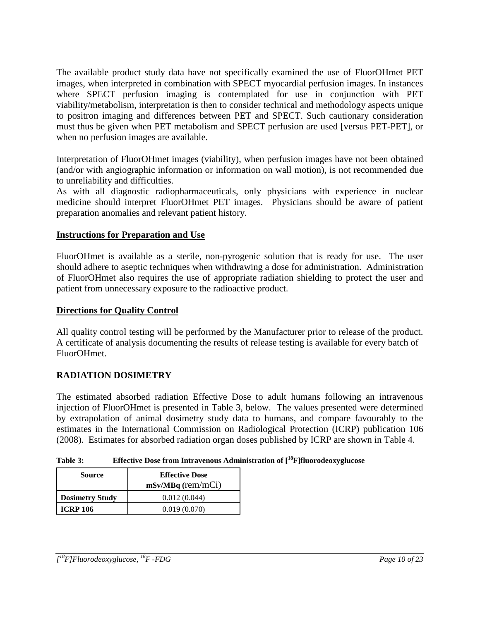The available product study data have not specifically examined the use of FluorOHmet PET images, when interpreted in combination with SPECT myocardial perfusion images. In instances where SPECT perfusion imaging is contemplated for use in conjunction with PET viability/metabolism, interpretation is then to consider technical and methodology aspects unique to positron imaging and differences between PET and SPECT. Such cautionary consideration must thus be given when PET metabolism and SPECT perfusion are used [versus PET-PET], or when no perfusion images are available.

Interpretation of FluorOHmet images (viability), when perfusion images have not been obtained (and/or with angiographic information or information on wall motion), is not recommended due to unreliability and difficulties.

As with all diagnostic radiopharmaceuticals, only physicians with experience in nuclear medicine should interpret FluorOHmet PET images. Physicians should be aware of patient preparation anomalies and relevant patient history.

### **Instructions for Preparation and Use**

FluorOHmet is available as a sterile, non-pyrogenic solution that is ready for use. The user should adhere to aseptic techniques when withdrawing a dose for administration. Administration of FluorOHmet also requires the use of appropriate radiation shielding to protect the user and patient from unnecessary exposure to the radioactive product.

### **Directions for Quality Control**

All quality control testing will be performed by the Manufacturer prior to release of the product. A certificate of analysis documenting the results of release testing is available for every batch of FluorOHmet.

### **RADIATION DOSIMETRY**

The estimated absorbed radiation Effective Dose to adult humans following an intravenous injection of FluorOHmet is presented in Table 3, below. The values presented were determined by extrapolation of animal dosimetry study data to humans, and compare favourably to the estimates in the International Commission on Radiological Protection (ICRP) publication 106 (2008). Estimates for absorbed radiation organ doses published by ICRP are shown in Table 4.

| Table 3: | Effective Dose from Intravenous Administration of $[$ <sup>18</sup> $F$ ]fluorodeoxyglucose |
|----------|---------------------------------------------------------------------------------------------|
|----------|---------------------------------------------------------------------------------------------|

| Source                 | <b>Effective Dose</b><br>$mSv/MBq$ (rem/mCi) |
|------------------------|----------------------------------------------|
| <b>Dosimetry Study</b> | 0.012(0.044)                                 |
| <b>ICRP 106</b>        | 0.019(0.070)                                 |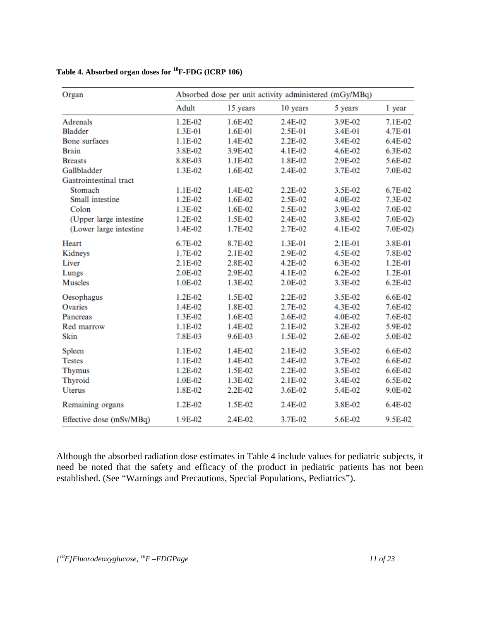| Organ                    |           |          | Absorbed dose per unit activity administered (mGy/MBq) |             |             |  |
|--------------------------|-----------|----------|--------------------------------------------------------|-------------|-------------|--|
|                          | Adult     | 15 years | 10 years                                               | 5 years     | 1 year      |  |
| Adrenals                 | 1.2E-02   | 1.6E-02  | 2.4E-02                                                | 3.9E-02     | 7.1E-02     |  |
| <b>Bladder</b>           | 1.3E-01   | 1.6E-01  | 2.5E-01                                                | 3.4E-01     | 4.7E-01     |  |
| <b>Bone</b> surfaces     | 1.1E-02   | 1.4E-02  | 2.2E-02                                                | 3.4E-02     | 6.4E-02     |  |
| <b>Brain</b>             | 3.8E-02   | 3.9E-02  | 4.1E-02                                                | 4.6E-02     | 6.3E-02     |  |
| <b>Breasts</b>           | 8.8E-03   | 1.1E-02  | 1.8E-02                                                | 2.9E-02     | 5.6E-02     |  |
| Gallbladder              | 1.3E-02   | 1.6E-02  | 2.4E-02                                                | 3.7E-02     | 7.0E-02     |  |
| Gastrointestinal tract   |           |          |                                                        |             |             |  |
| Stomach                  | 1.1E-02   | 1.4E-02  | 2.2E-02                                                | 3.5E-02     | 6.7E-02     |  |
| Small intestine          | 1.2E-02   | 1.6E-02  | 2.5E-02                                                | 4.0E-02     | 7.3E-02     |  |
| Colon                    | 1.3E-02   | 1.6E-02  | 2.5E-02                                                | 3.9E-02     | 7.0E-02     |  |
| (Upper large intestine)  | 1.2E-02   | 1.5E-02  | 2.4E-02                                                | 3.8E-02     | $7.0E-02$   |  |
| (Lower large intestine   | 1.4E-02   | 1.7E-02  | 2.7E-02                                                | 4.1E-02     | $7.0E-02$   |  |
| Heart                    | 6.7E-02   | 8.7E-02  | 1.3E-01                                                | 2.1E-01     | 3.8E-01     |  |
| Kidneys                  | 1.7E-02   | 2.1E-02  | 2.9E-02                                                | 4.5E-02     | 7.8E-02     |  |
| Liver                    | $2.1E-02$ | 2.8E-02  | 4.2E-02                                                | 6.3E-02     | $1.2E - 01$ |  |
| Lungs                    | 2.0E-02   | 2.9E-02  | 4.1E-02                                                | $6.2E - 02$ | $1.2E - 01$ |  |
| <b>Muscles</b>           | 1.0E-02   | 1.3E-02  | 2.0E-02                                                | 3.3E-02     | $6.2E-02$   |  |
| Oesophagus               | 1.2E-02   | 1.5E-02  | 2.2E-02                                                | 3.5E-02     | 6.6E-02     |  |
| Ovaries                  | 1.4E-02   | 1.8E-02  | 2.7E-02                                                | 4.3E-02     | 7.6E-02     |  |
| Pancreas                 | 1.3E-02   | 1.6E-02  | 2.6E-02                                                | 4.0E-02     | 7.6E-02     |  |
| Red marrow               | 1.1E-02   | 1.4E-02  | 2.1E-02                                                | 3.2E-02     | 5.9E-02     |  |
| Skin                     | 7.8E-03   | 9.6E-03  | 1.5E-02                                                | 2.6E-02     | 5.0E-02     |  |
| Spleen                   | 1.1E-02   | 1.4E-02  | 2.1E-02                                                | 3.5E-02     | 6.6E-02     |  |
| <b>Testes</b>            | 1.1E-02   | 1.4E-02  | 2.4E-02                                                | 3.7E-02     | 6.6E-02     |  |
| <b>Thymus</b>            | 1.2E-02   | 1.5E-02  | 2.2E-02                                                | 3.5E-02     | 6.6E-02     |  |
| Thyroid                  | 1.0E-02   | 1.3E-02  | 2.1E-02                                                | 3.4E-02     | 6.5E-02     |  |
| <b>Uterus</b>            | 1.8E-02   | 2.2E-02  | 3.6E-02                                                | 5.4E-02     | 9.0E-02     |  |
| Remaining organs         | 1.2E-02   | 1.5E-02  | 2.4E-02                                                | 3.8E-02     | 6.4E-02     |  |
| Effective dose (mSv/MBq) | 1.9E-02   | 2.4E-02  | 3.7E-02                                                | 5.6E-02     | 9.5E-02     |  |

## **Table 4. Absorbed organ doses for 18F-FDG (ICRP 106)**

Although the absorbed radiation dose estimates in Table 4 include values for pediatric subjects, it need be noted that the safety and efficacy of the product in pediatric patients has not been established. (See "Warnings and Precautions, Special Populations, Pediatrics").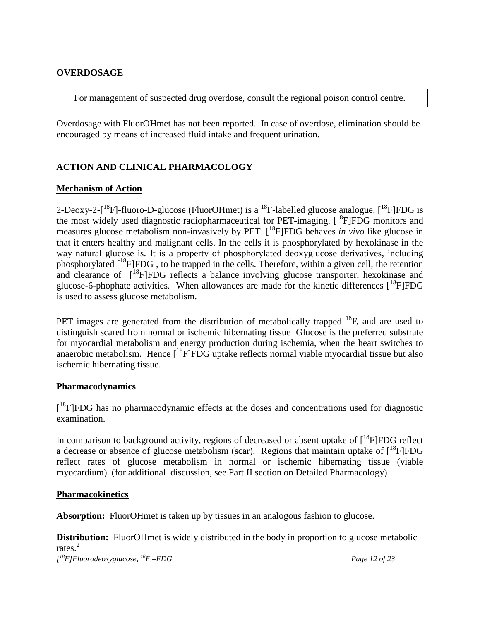#### **OVERDOSAGE**

For management of suspected drug overdose, consult the regional poison control centre.

Overdosage with FluorOHmet has not been reported. In case of overdose, elimination should be encouraged by means of increased fluid intake and frequent urination.

### **ACTION AND CLINICAL PHARMACOLOGY**

#### **Mechanism of Action**

2-Deoxy-2-[<sup>18</sup>F]-fluoro-D-glucose (FluorOHmet) is a <sup>18</sup>F-labelled glucose analogue. [<sup>18</sup>F]FDG is the most widely used diagnostic radiopharmaceutical for PET-imaging. [<sup>18</sup>F]FDG monitors and measures glucose metabolism non-invasively by PET. [ 18F]FDG behaves *in vivo* like glucose in that it enters healthy and malignant cells. In the cells it is phosphorylated by hexokinase in the way natural glucose is. It is a property of phosphorylated deoxyglucose derivatives, including phosphorylated [<sup>18</sup>F]FDG, to be trapped in the cells. Therefore, within a given cell, the retention and clearance of [<sup>18</sup>F]FDG reflects a balance involving glucose transporter, hexokinase and glucose-6-phophate activities. When allowances are made for the kinetic differences [<sup>18</sup>F]FDG is used to assess glucose metabolism.

PET images are generated from the distribution of metabolically trapped <sup>18</sup>F, and are used to distinguish scared from normal or ischemic hibernating tissue Glucose is the preferred substrate for myocardial metabolism and energy production during ischemia, when the heart switches to anaerobic metabolism. Hence  $[$ <sup>18</sup>F]FDG uptake reflects normal viable myocardial tissue but also ischemic hibernating tissue.

#### **Pharmacodynamics**

[<sup>18</sup>F]FDG has no pharmacodynamic effects at the doses and concentrations used for diagnostic examination.

In comparison to background activity, regions of decreased or absent uptake of [<sup>18</sup>F]FDG reflect a decrease or absence of glucose metabolism (scar). Regions that maintain uptake of  $[^{18}F]FDG$ reflect rates of glucose metabolism in normal or ischemic hibernating tissue (viable myocardium). (for additional discussion, see Part II section on Detailed Pharmacology)

#### **Pharmacokinetics**

**Absorption:** FluorOHmet is taken up by tissues in an analogous fashion to glucose.

**Distribution:** FluorOHmet is widely distributed in the body in proportion to glucose metabolic rates.<sup>2</sup>

*[ 18 F]Fluorodeoxyglucose, 18F –FDG Page 12 of 23*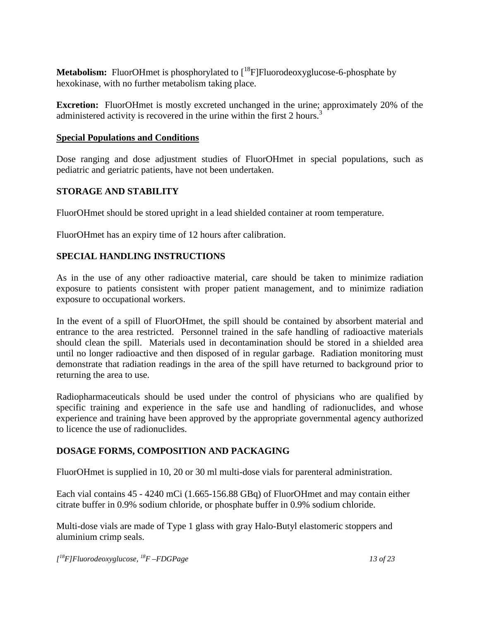**Metabolism:** FluorOHmet is phosphorylated to  $[{}^{18}F]$ Fluorodeoxyglucose-6-phosphate by hexokinase, with no further metabolism taking place.

**Excretion:** FluorOHmet is mostly excreted unchanged in the urine; approximately 20% of the administered activity is recovered in the urine within the first 2 hours.<sup>3</sup>

#### **Special Populations and Conditions**

Dose ranging and dose adjustment studies of FluorOHmet in special populations, such as pediatric and geriatric patients, have not been undertaken.

### **STORAGE AND STABILITY**

FluorOHmet should be stored upright in a lead shielded container at room temperature.

FluorOHmet has an expiry time of 12 hours after calibration.

### **SPECIAL HANDLING INSTRUCTIONS**

As in the use of any other radioactive material, care should be taken to minimize radiation exposure to patients consistent with proper patient management, and to minimize radiation exposure to occupational workers.

In the event of a spill of FluorOHmet, the spill should be contained by absorbent material and entrance to the area restricted. Personnel trained in the safe handling of radioactive materials should clean the spill. Materials used in decontamination should be stored in a shielded area until no longer radioactive and then disposed of in regular garbage. Radiation monitoring must demonstrate that radiation readings in the area of the spill have returned to background prior to returning the area to use.

Radiopharmaceuticals should be used under the control of physicians who are qualified by specific training and experience in the safe use and handling of radionuclides, and whose experience and training have been approved by the appropriate governmental agency authorized to licence the use of radionuclides.

### **DOSAGE FORMS, COMPOSITION AND PACKAGING**

FluorOHmet is supplied in 10, 20 or 30 ml multi-dose vials for parenteral administration.

Each vial contains 45 - 4240 mCi (1.665-156.88 GBq) of FluorOHmet and may contain either citrate buffer in 0.9% sodium chloride, or phosphate buffer in 0.9% sodium chloride.

Multi-dose vials are made of Type 1 glass with gray Halo-Butyl elastomeric stoppers and aluminium crimp seals.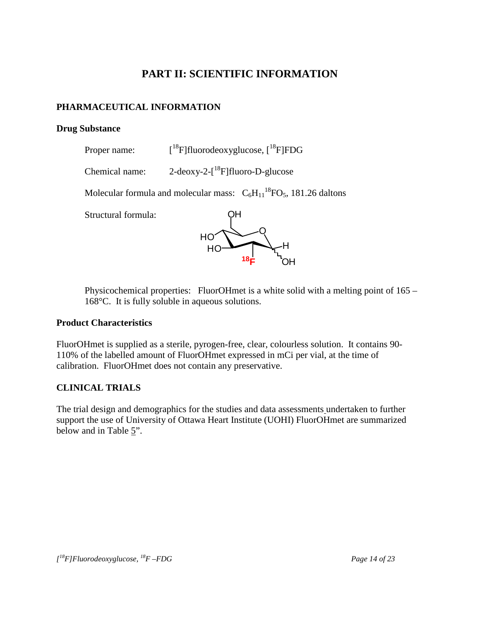## **PART II: SCIENTIFIC INFORMATION**

## **PHARMACEUTICAL INFORMATION**

#### **Drug Substance**

- Proper name:  $[$ <sup>18</sup>F]fluorodeoxyglucose,  $[$ <sup>18</sup>F]FDG
- Chemical name:  $2$ -deoxy- $2$ - $\binom{18}{1}$ fluoro-D-glucose

Molecular formula and molecular mass:  $C_6H_{11}^{18}FO_5$ , 181.26 daltons

Structural formula:



Physicochemical properties: FluorOHmet is a white solid with a melting point of 165 – 168°C. It is fully soluble in aqueous solutions.

### **Product Characteristics**

FluorOHmet is supplied as a sterile, pyrogen-free, clear, colourless solution. It contains 90- 110% of the labelled amount of FluorOHmet expressed in mCi per vial, at the time of calibration. FluorOHmet does not contain any preservative.

### **CLINICAL TRIALS**

The trial design and demographics for the studies and data assessments undertaken to further support the use of University of Ottawa Heart Institute (UOHI) FluorOHmet are summarized below and in Table 5".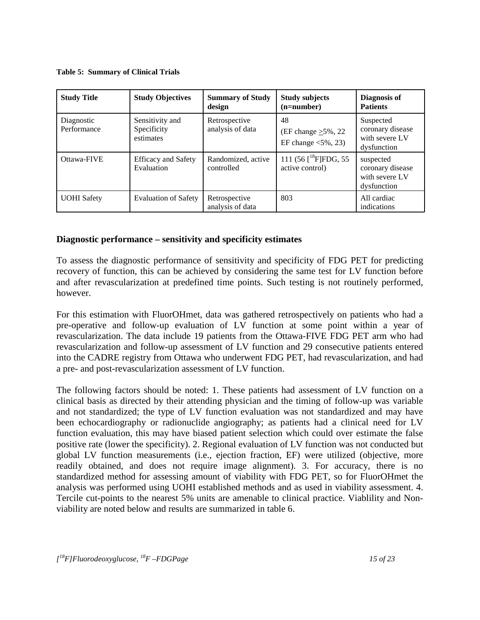**Table 5: Summary of Clinical Trials**

| <b>Study Title</b>        | <b>Study Objectives</b>                     | <b>Summary of Study</b><br>design | <b>Study subjects</b><br>$(n=number)$                                 | Diagnosis of<br><b>Patients</b>                                |
|---------------------------|---------------------------------------------|-----------------------------------|-----------------------------------------------------------------------|----------------------------------------------------------------|
| Diagnostic<br>Performance | Sensitivity and<br>Specificity<br>estimates | Retrospective<br>analysis of data | 48<br>(EF change $\geq$ 5%, 22<br>EF change $\langle 5\%, 23 \rangle$ | Suspected<br>coronary disease<br>with severe LV<br>dysfunction |
| Ottawa-FIVE               | <b>Efficacy and Safety</b><br>Evaluation    | Randomized, active<br>controlled  | 111 (56 $[{}^{18}$ F]FDG, 55<br>active control)                       | suspected<br>coronary disease<br>with severe LV<br>dysfunction |
| <b>UOHI</b> Safety        | <b>Evaluation of Safety</b>                 | Retrospective<br>analysis of data | 803                                                                   | All cardiac<br>indications                                     |

### **Diagnostic performance – sensitivity and specificity estimates**

To assess the diagnostic performance of sensitivity and specificity of FDG PET for predicting recovery of function, this can be achieved by considering the same test for LV function before and after revascularization at predefined time points. Such testing is not routinely performed, however.

For this estimation with FluorOHmet, data was gathered retrospectively on patients who had a pre-operative and follow-up evaluation of LV function at some point within a year of revascularization. The data include 19 patients from the Ottawa-FIVE FDG PET arm who had revascularization and follow-up assessment of LV function and 29 consecutive patients entered into the CADRE registry from Ottawa who underwent FDG PET, had revascularization, and had a pre- and post-revascularization assessment of LV function.

The following factors should be noted: 1. These patients had assessment of LV function on a clinical basis as directed by their attending physician and the timing of follow-up was variable and not standardized; the type of LV function evaluation was not standardized and may have been echocardiography or radionuclide angiography; as patients had a clinical need for LV function evaluation, this may have biased patient selection which could over estimate the false positive rate (lower the specificity). 2. Regional evaluation of LV function was not conducted but global LV function measurements (i.e., ejection fraction, EF) were utilized (objective, more readily obtained, and does not require image alignment). 3. For accuracy, there is no standardized method for assessing amount of viability with FDG PET, so for FluorOHmet the analysis was performed using UOHI established methods and as used in viability assessment. 4. Tercile cut-points to the nearest 5% units are amenable to clinical practice. Viablility and Nonviability are noted below and results are summarized in table 6.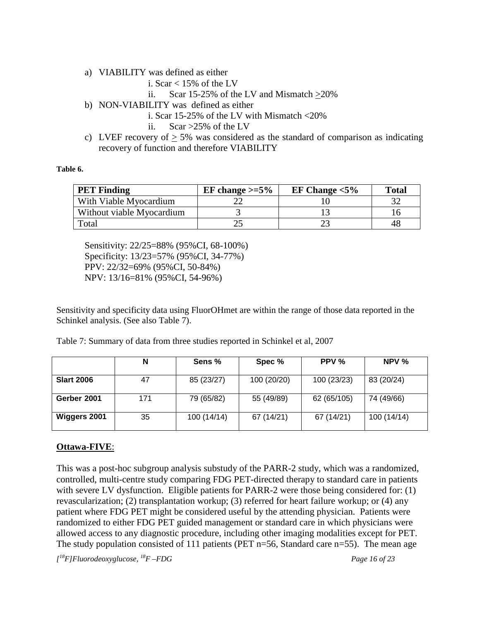- a) VIABILITY was defined as either
	- i. Scar  $< 15\%$  of the LV
	- ii. Scar 15-25% of the LV and Mismatch  $\geq$ 20%
- b) NON-VIABILITY was defined as either
	- i. Scar 15-25% of the LV with Mismatch <20%
	- ii. Scar >25% of the LV
- c) LVEF recovery of  $> 5\%$  was considered as the standard of comparison as indicating recovery of function and therefore VIABILITY

#### **Table 6.**

| <b>PET Finding</b>        | EF change $\geq 5\%$ | EF Change $<$ 5% | <b>Total</b> |
|---------------------------|----------------------|------------------|--------------|
| With Viable Myocardium    |                      |                  |              |
| Without viable Myocardium |                      |                  |              |
| Total                     |                      |                  |              |

Sensitivity: 22/25=88% (95%CI, 68-100%) Specificity: 13/23=57% (95%CI, 34-77%) PPV: 22/32=69% (95%CI, 50-84%) NPV: 13/16=81% (95%CI, 54-96%)

Sensitivity and specificity data using FluorOHmet are within the range of those data reported in the Schinkel analysis. (See also Table 7).

Table 7: Summary of data from three studies reported in Schinkel et al, 2007

|                   | N   | Sens %      | Spec %      | PPV %       | NPV %       |
|-------------------|-----|-------------|-------------|-------------|-------------|
| <b>Slart 2006</b> | 47  | 85 (23/27)  | 100 (20/20) | 100 (23/23) | 83 (20/24)  |
| Gerber 2001       | 171 | 79 (65/82)  | 55 (49/89)  | 62 (65/105) | 74 (49/66)  |
| Wiggers 2001      | 35  | 100 (14/14) | 67 (14/21)  | 67 (14/21)  | 100 (14/14) |

### **Ottawa-FIVE**:

This was a post-hoc subgroup analysis substudy of the PARR-2 study, which was a randomized, controlled, multi-centre study comparing FDG PET-directed therapy to standard care in patients with severe LV dysfunction. Eligible patients for PARR-2 were those being considered for: (1) revascularization; (2) transplantation workup; (3) referred for heart failure workup; or (4) any patient where FDG PET might be considered useful by the attending physician. Patients were randomized to either FDG PET guided management or standard care in which physicians were allowed access to any diagnostic procedure, including other imaging modalities except for PET. The study population consisted of 111 patients (PET n=56, Standard care n=55). The mean age

*[ 18 F]Fluorodeoxyglucose, 18F –FDG Page 16 of 23*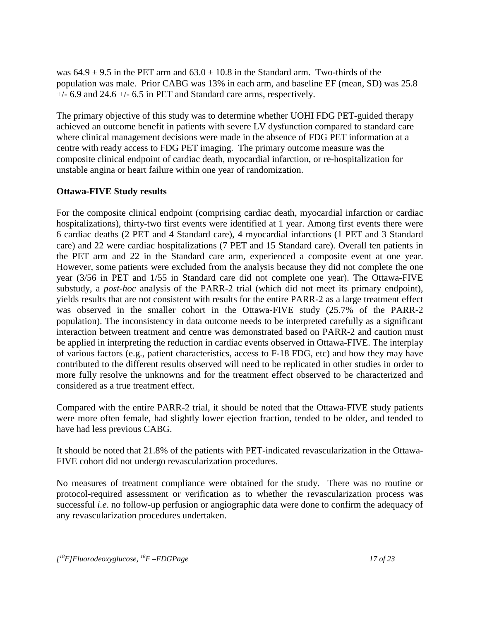was  $64.9 \pm 9.5$  in the PET arm and  $63.0 \pm 10.8$  in the Standard arm. Two-thirds of the population was male. Prior CABG was 13% in each arm, and baseline EF (mean, SD) was 25.8  $+/-$  6.9 and 24.6  $+/-$  6.5 in PET and Standard care arms, respectively.

The primary objective of this study was to determine whether UOHI FDG PET-guided therapy achieved an outcome benefit in patients with severe LV dysfunction compared to standard care where clinical management decisions were made in the absence of FDG PET information at a centre with ready access to FDG PET imaging. The primary outcome measure was the composite clinical endpoint of cardiac death, myocardial infarction, or re-hospitalization for unstable angina or heart failure within one year of randomization.

### **Ottawa-FIVE Study results**

For the composite clinical endpoint (comprising cardiac death, myocardial infarction or cardiac hospitalizations), thirty-two first events were identified at 1 year. Among first events there were 6 cardiac deaths (2 PET and 4 Standard care), 4 myocardial infarctions (1 PET and 3 Standard care) and 22 were cardiac hospitalizations (7 PET and 15 Standard care). Overall ten patients in the PET arm and 22 in the Standard care arm, experienced a composite event at one year. However, some patients were excluded from the analysis because they did not complete the one year (3/56 in PET and 1/55 in Standard care did not complete one year). The Ottawa-FIVE substudy, a *post-hoc* analysis of the PARR-2 trial (which did not meet its primary endpoint), yields results that are not consistent with results for the entire PARR-2 as a large treatment effect was observed in the smaller cohort in the Ottawa-FIVE study (25.7% of the PARR-2 population). The inconsistency in data outcome needs to be interpreted carefully as a significant interaction between treatment and centre was demonstrated based on PARR-2 and caution must be applied in interpreting the reduction in cardiac events observed in Ottawa-FIVE. The interplay of various factors (e.g., patient characteristics, access to F-18 FDG, etc) and how they may have contributed to the different results observed will need to be replicated in other studies in order to more fully resolve the unknowns and for the treatment effect observed to be characterized and considered as a true treatment effect.

Compared with the entire PARR-2 trial, it should be noted that the Ottawa-FIVE study patients were more often female, had slightly lower ejection fraction, tended to be older, and tended to have had less previous CABG.

It should be noted that 21.8% of the patients with PET-indicated revascularization in the Ottawa-FIVE cohort did not undergo revascularization procedures.

No measures of treatment compliance were obtained for the study. There was no routine or protocol-required assessment or verification as to whether the revascularization process was successful *i.e*. no follow-up perfusion or angiographic data were done to confirm the adequacy of any revascularization procedures undertaken.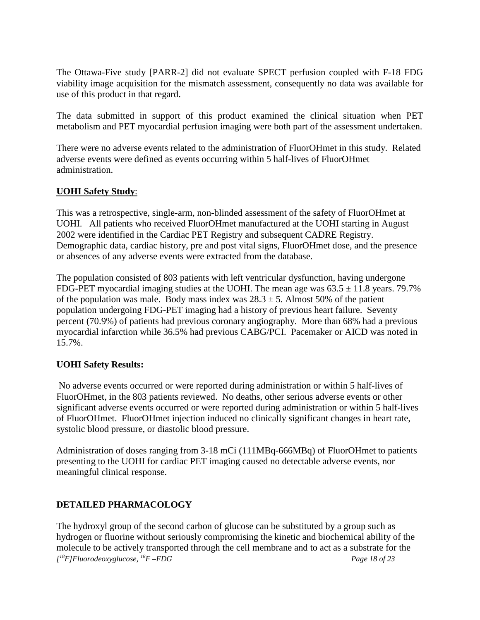The Ottawa-Five study [PARR-2] did not evaluate SPECT perfusion coupled with F-18 FDG viability image acquisition for the mismatch assessment, consequently no data was available for use of this product in that regard.

The data submitted in support of this product examined the clinical situation when PET metabolism and PET myocardial perfusion imaging were both part of the assessment undertaken.

There were no adverse events related to the administration of FluorOHmet in this study. Related adverse events were defined as events occurring within 5 half-lives of FluorOHmet administration.

#### **UOHI Safety Study**:

This was a retrospective, single-arm, non-blinded assessment of the safety of FluorOHmet at UOHI. All patients who received FluorOHmet manufactured at the UOHI starting in August 2002 were identified in the Cardiac PET Registry and subsequent CADRE Registry. Demographic data, cardiac history, pre and post vital signs, FluorOHmet dose, and the presence or absences of any adverse events were extracted from the database.

The population consisted of 803 patients with left ventricular dysfunction, having undergone FDG-PET myocardial imaging studies at the UOHI. The mean age was  $63.5 \pm 11.8$  years. 79.7% of the population was male. Body mass index was  $28.3 \pm 5$ . Almost 50% of the patient population undergoing FDG-PET imaging had a history of previous heart failure. Seventy percent (70.9%) of patients had previous coronary angiography. More than 68% had a previous myocardial infarction while 36.5% had previous CABG/PCI. Pacemaker or AICD was noted in 15.7%.

### **UOHI Safety Results:**

No adverse events occurred or were reported during administration or within 5 half-lives of FluorOHmet, in the 803 patients reviewed. No deaths, other serious adverse events or other significant adverse events occurred or were reported during administration or within 5 half-lives of FluorOHmet. FluorOHmet injection induced no clinically significant changes in heart rate, systolic blood pressure, or diastolic blood pressure.

Administration of doses ranging from 3-18 mCi (111MBq-666MBq) of FluorOHmet to patients presenting to the UOHI for cardiac PET imaging caused no detectable adverse events, nor meaningful clinical response.

### **DETAILED PHARMACOLOGY**

*[ 18 F]Fluorodeoxyglucose, 18F –FDG Page 18 of 23* The hydroxyl group of the second carbon of glucose can be substituted by a group such as hydrogen or fluorine without seriously compromising the kinetic and biochemical ability of the molecule to be actively transported through the cell membrane and to act as a substrate for the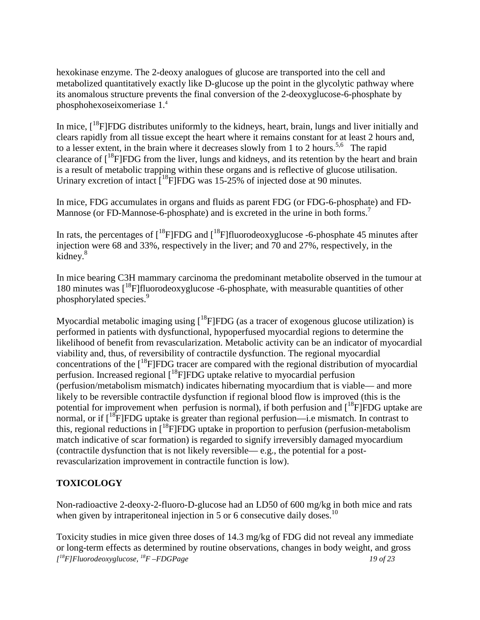hexokinase enzyme. The 2-deoxy analogues of glucose are transported into the cell and metabolized quantitatively exactly like D-glucose up the point in the glycolytic pathway where its anomalous structure prevents the final conversion of the 2-deoxyglucose-6-phosphate by phosphohexoseixomeriase 1.4

In mice,  $[18F]FDG$  distributes uniformly to the kidneys, heart, brain, lungs and liver initially and clears rapidly from all tissue except the heart where it remains constant for at least 2 hours and, to a lesser extent, in the brain where it decreases slowly from 1 to 2 hours.<sup>5,6</sup> The rapid clearance of  $\lceil^{18}F|FDG$  from the liver, lungs and kidneys, and its retention by the heart and brain is a result of metabolic trapping within these organs and is reflective of glucose utilisation. Urinary excretion of intact  $[{}^{18}F]FDG$  was 15-25% of injected dose at 90 minutes.

In mice, FDG accumulates in organs and fluids as parent FDG (or FDG-6-phosphate) and FD-Mannose (or FD-Mannose-6-phosphate) and is excreted in the urine in both forms.<sup>7</sup>

In rats, the percentages of  $[{}^{18}F]FDG$  and  $[{}^{18}F]fluorodeoxyglucose -6-phosphate 45 minutes$  after injection were 68 and 33%, respectively in the liver; and 70 and 27%, respectively, in the kidney.<sup>8</sup>

In mice bearing C3H mammary carcinoma the predominant metabolite observed in the tumour at 180 minutes was  $\int_0^{18}F\left| \frac{f}{f}\right| \frac{f}{f}$  fluorodeoxyglucose -6-phosphate, with measurable quantities of other phosphorylated species.<sup>9</sup>

Myocardial metabolic imaging using  $[{}^{18}F]FDG$  (as a tracer of exogenous glucose utilization) is performed in patients with dysfunctional, hypoperfused myocardial regions to determine the likelihood of benefit from revascularization. Metabolic activity can be an indicator of myocardial viability and, thus, of reversibility of contractile dysfunction. The regional myocardial concentrations of the  $[$ <sup>18</sup>F]FDG tracer are compared with the regional distribution of myocardial perfusion. Increased regional [<sup>18</sup>F]FDG uptake relative to myocardial perfusion (perfusion/metabolism mismatch) indicates hibernating myocardium that is viable— and more likely to be reversible contractile dysfunction if regional blood flow is improved (this is the potential for improvement when perfusion is normal), if both perfusion and  $[{}^{18}F]FDG$  uptake are normal, or if  $\left[1^8F\right]FDG$  uptake is greater than regional perfusion—i.e mismatch. In contrast to this, regional reductions in [<sup>18</sup>F]FDG uptake in proportion to perfusion (perfusion-metabolism match indicative of scar formation) is regarded to signify irreversibly damaged myocardium (contractile dysfunction that is not likely reversible— e.g., the potential for a postrevascularization improvement in contractile function is low).

### **TOXICOLOGY**

Non-radioactive 2-deoxy-2-fluoro-D-glucose had an LD50 of 600 mg/kg in both mice and rats when given by intraperitoneal injection in 5 or 6 consecutive daily doses.<sup>10</sup>

*[ 18F]Fluorodeoxyglucose, 18F –FDGPage 19 of 23* Toxicity studies in mice given three doses of 14.3 mg/kg of FDG did not reveal any immediate or long-term effects as determined by routine observations, changes in body weight, and gross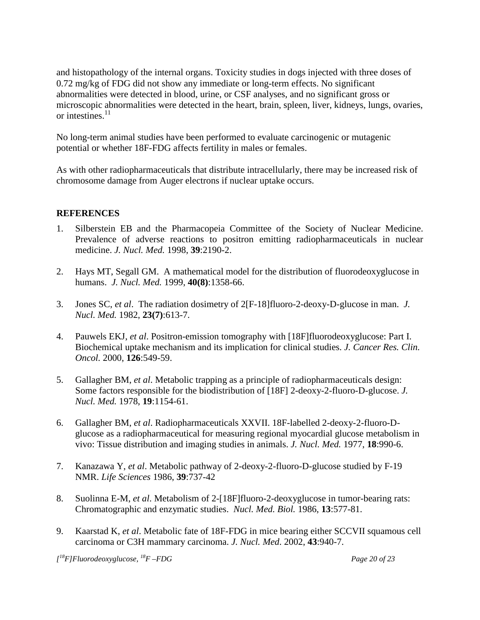and histopathology of the internal organs. Toxicity studies in dogs injected with three doses of 0.72 mg/kg of FDG did not show any immediate or long-term effects. No significant abnormalities were detected in blood, urine, or CSF analyses, and no significant gross or microscopic abnormalities were detected in the heart, brain, spleen, liver, kidneys, lungs, ovaries, or intestines. $^{11}$ 

No long-term animal studies have been performed to evaluate carcinogenic or mutagenic potential or whether 18F-FDG affects fertility in males or females.

As with other radiopharmaceuticals that distribute intracellularly, there may be increased risk of chromosome damage from Auger electrons if nuclear uptake occurs.

### **REFERENCES**

- 1. Silberstein EB and the Pharmacopeia Committee of the Society of Nuclear Medicine. Prevalence of adverse reactions to positron emitting radiopharmaceuticals in nuclear medicine. *J. Nucl. Med.* 1998, **39**:2190-2.
- 2. Hays MT, Segall GM. A mathematical model for the distribution of fluorodeoxyglucose in humans. *J. Nucl. Med.* 1999, **40(8)**:1358-66.
- 3. Jones SC, *et al*. The radiation dosimetry of 2[F-18]fluoro-2-deoxy-D-glucose in man. *J. Nucl. Med.* 1982, **23(7)**:613-7.
- 4. Pauwels EKJ, *et al*. Positron-emission tomography with [18F]fluorodeoxyglucose: Part I. Biochemical uptake mechanism and its implication for clinical studies. *J. Cancer Res. Clin. Oncol.* 2000, **126**:549-59.
- 5. Gallagher BM, *et al*. Metabolic trapping as a principle of radiopharmaceuticals design: Some factors responsible for the biodistribution of [18F] 2-deoxy-2-fluoro-D-glucose. *J. Nucl. Med.* 1978, **19**:1154-61.
- 6. Gallagher BM, *et al*. Radiopharmaceuticals XXVII. 18F-labelled 2-deoxy-2-fluoro-Dglucose as a radiopharmaceutical for measuring regional myocardial glucose metabolism in vivo: Tissue distribution and imaging studies in animals. *J. Nucl. Med.* 1977, **18**:990-6.
- 7. Kanazawa Y, *et al*. Metabolic pathway of 2-deoxy-2-fluoro-D-glucose studied by F-19 NMR. *Life Sciences* 1986, **39**:737-42
- 8. Suolinna E-M, *et al*. Metabolism of 2-[18F]fluoro-2-deoxyglucose in tumor-bearing rats: Chromatographic and enzymatic studies. *Nucl. Med. Biol.* 1986, **13**:577-81.
- 9. Kaarstad K, *et al*. Metabolic fate of 18F-FDG in mice bearing either SCCVII squamous cell carcinoma or C3H mammary carcinoma. *J. Nucl. Med*. 2002, **43**:940-7.

*[ 18 F]Fluorodeoxyglucose, 18F –FDG Page 20 of 23*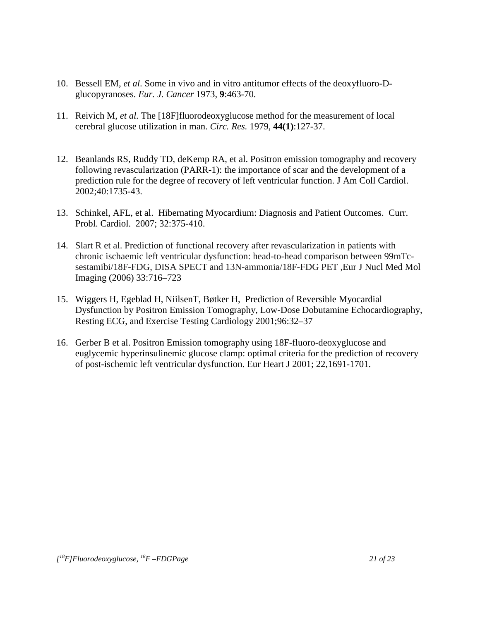- 10. Bessell EM, *et al*. Some in vivo and in vitro antitumor effects of the deoxyfluoro-Dglucopyranoses. *Eur. J. Cancer* 1973, **9**:463-70.
- 11. Reivich M, *et al.* The [18F]fluorodeoxyglucose method for the measurement of local cerebral glucose utilization in man. *Circ. Res.* 1979, **44(1)**:127-37.
- 12. Beanlands RS, Ruddy TD, deKemp RA, et al. Positron emission tomography and recovery following revascularization (PARR-1): the importance of scar and the development of a prediction rule for the degree of recovery of left ventricular function. J Am Coll Cardiol. 2002;40:1735-43.
- 13. Schinkel, AFL, et al. Hibernating Myocardium: Diagnosis and Patient Outcomes. Curr. Probl. Cardiol. 2007; 32:375-410.
- 14. Slart R et al. Prediction of functional recovery after revascularization in patients with chronic ischaemic left ventricular dysfunction: head-to-head comparison between 99mTcsestamibi/18F-FDG, DISA SPECT and 13N-ammonia/18F-FDG PET ,Eur J Nucl Med Mol Imaging (2006) 33:716*–*723
- 15. Wiggers H, Egeblad H, NiilsenT, Bøtker H, Prediction of Reversible Myocardial Dysfunction by Positron Emission Tomography, Low-Dose Dobutamine Echocardiography, Resting ECG, and Exercise Testing Cardiology 2001;96:32–37
- 16. Gerber B et al. Positron Emission tomography using 18F-fluoro-deoxyglucose and euglycemic hyperinsulinemic glucose clamp: optimal criteria for the prediction of recovery of post-ischemic left ventricular dysfunction. Eur Heart J 2001; 22,1691-1701.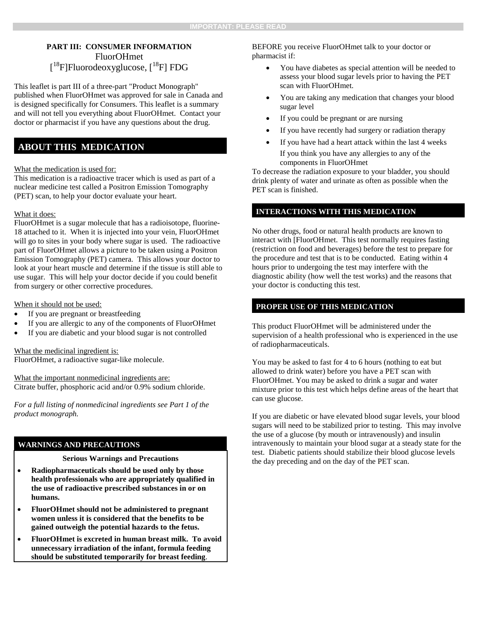#### **PART III: CONSUMER INFORMATION** FluorOHmet [<sup>18</sup>F]Fluorodeoxyglucose, [<sup>18</sup>F] FDG

This leaflet is part III of a three-part "Product Monograph" published when FluorOHmet was approved for sale in Canada and is designed specifically for Consumers. This leaflet is a summary and will not tell you everything about FluorOHmet. Contact your doctor or pharmacist if you have any questions about the drug.

#### **ABOUT THIS MEDICATION**

#### What the medication is used for:

This medication is a radioactive tracer which is used as part of a nuclear medicine test called a Positron Emission Tomography (PET) scan, to help your doctor evaluate your heart.

#### What it does:

FluorOHmet is a sugar molecule that has a radioisotope, fluorine-18 attached to it. When it is injected into your vein, FluorOHmet will go to sites in your body where sugar is used. The radioactive part of FluorOHmet allows a picture to be taken using a Positron Emission Tomography (PET) camera. This allows your doctor to look at your heart muscle and determine if the tissue is still able to use sugar. This will help your doctor decide if you could benefit from surgery or other corrective procedures.

#### When it should not be used:

- If you are pregnant or breastfeeding
- If you are allergic to any of the components of FluorOHmet
- If you are diabetic and your blood sugar is not controlled

What the medicinal ingredient is: FluorOHmet, a radioactive sugar-like molecule.

What the important nonmedicinal ingredients are: Citrate buffer, phosphoric acid and/or 0.9% sodium chloride.

*For a full listing of nonmedicinal ingredients see Part 1 of the product monograph.*

#### **WARNINGS AND PRECAUTIONS**

#### **Serious Warnings and Precautions**

- **Radiopharmaceuticals should be used only by those health professionals who are appropriately qualified in the use of radioactive prescribed substances in or on humans.**
- **FluorOHmet should not be administered to pregnant women unless it is considered that the benefits to be gained outweigh the potential hazards to the fetus.**
- **FluorOHmet is excreted in human breast milk. To avoid unnecessary irradiation of the infant, formula feeding should be substituted temporarily for breast feeding**.

BEFORE you receive FluorOHmet talk to your doctor or pharmacist if:

- You have diabetes as special attention will be needed to assess your blood sugar levels prior to having the PET scan with FluorOHmet.
- You are taking any medication that changes your blood sugar level
- If you could be pregnant or are nursing
- If you have recently had surgery or radiation therapy
- If you have had a heart attack within the last 4 weeks If you think you have any allergies to any of the components in FluorOHmet

To decrease the radiation exposure to your bladder, you should drink plenty of water and urinate as often as possible when the PET scan is finished.

#### **INTERACTIONS WITH THIS MEDICATION**

No other drugs, food or natural health products are known to interact with [FluorOHmet. This test normally requires fasting (restriction on food and beverages) before the test to prepare for the procedure and test that is to be conducted. Eating within 4 hours prior to undergoing the test may interfere with the diagnostic ability (how well the test works) and the reasons that your doctor is conducting this test.

#### **PROPER USE OF THIS MEDICATION**

This product FluorOHmet will be administered under the supervision of a health professional who is experienced in the use of radiopharmaceuticals.

You may be asked to fast for 4 to 6 hours (nothing to eat but allowed to drink water) before you have a PET scan with FluorOHmet. You may be asked to drink a sugar and water mixture prior to this test which helps define areas of the heart that can use glucose.

If you are diabetic or have elevated blood sugar levels, your blood sugars will need to be stabilized prior to testing. This may involve the use of a glucose (by mouth or intravenously) and insulin intravenously to maintain your blood sugar at a steady state for the test. Diabetic patients should stabilize their blood glucose levels the day preceding and on the day of the PET scan.